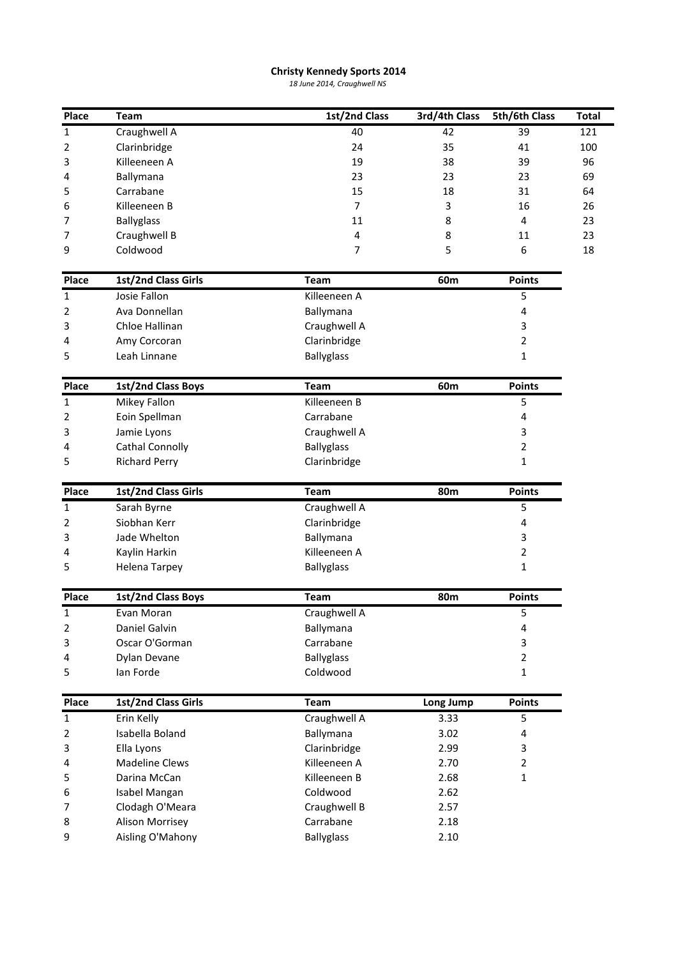## **Kennedy Sports <sup>2014</sup> Christy Kennedy Sports 2014**<br>18 June 2014, Craughwell NS

|                |                                           | <b>Christy Kennedy Sports 2014</b><br>18 June 2014, Craughwell NS |               |                |              |
|----------------|-------------------------------------------|-------------------------------------------------------------------|---------------|----------------|--------------|
| Place          | <b>Team</b>                               | 1st/2nd Class                                                     | 3rd/4th Class | 5th/6th Class  | <b>Total</b> |
| 1              | Craughwell A                              | 40                                                                | 42            | 39             | 121          |
| $\overline{2}$ | Clarinbridge                              | 24                                                                | 35            | 41             | 100          |
| 3              | Killeeneen A                              | 19                                                                | 38            | 39             | 96           |
| 4              | Ballymana                                 | 23                                                                | 23            | 23             | 69           |
| 5              | Carrabane                                 | 15                                                                | 18            | 31             | 64           |
| 6              | Killeeneen B                              | 7                                                                 | 3             | 16             | 26           |
| 7              | <b>Ballyglass</b>                         | 11                                                                | 8             | 4              | 23           |
| 7              | Craughwell B                              | 4                                                                 | 8             | 11             | 23           |
| 9              | Coldwood                                  | 7                                                                 | 5             | 6              | 18           |
| Place          | 1st/2nd Class Girls                       | <b>Team</b>                                                       | 60m           | <b>Points</b>  |              |
| 1              | Josie Fallon                              | Killeeneen A                                                      |               | 5              |              |
| 2              | Ava Donnellan                             | Ballymana                                                         |               | 4              |              |
| 3              | Chloe Hallinan                            | Craughwell A                                                      |               | 3              |              |
| 4              | Amy Corcoran                              | Clarinbridge                                                      |               | 2              |              |
| 5              | Leah Linnane                              | <b>Ballyglass</b>                                                 |               | 1              |              |
| Place          | 1st/2nd Class Boys                        | <b>Team</b>                                                       | 60m           | <b>Points</b>  |              |
| 1              | Mikey Fallon                              | Killeeneen B                                                      |               | 5              |              |
| 2              | Eoin Spellman                             | Carrabane                                                         |               | 4              |              |
| 3              | Jamie Lyons                               | Craughwell A                                                      |               | 3              |              |
| 4              | <b>Cathal Connolly</b>                    | <b>Ballyglass</b>                                                 |               | 2              |              |
| 5              | <b>Richard Perry</b>                      | Clarinbridge                                                      |               | 1              |              |
| Place          | 1st/2nd Class Girls                       | <b>Team</b>                                                       | 80m           | <b>Points</b>  |              |
| 1              | Sarah Byrne                               | Craughwell A                                                      |               | 5              |              |
| 2              | Siobhan Kerr                              | Clarinbridge                                                      |               | 4              |              |
| 3              | Jade Whelton                              | Ballymana                                                         |               | 3              |              |
| 4              | Kaylin Harkin                             | Killeeneen A                                                      |               | $\overline{2}$ |              |
| 5              | Helena Tarpey                             | <b>Ballyglass</b>                                                 |               | $\mathbf{1}$   |              |
| Place          | 1st/2nd Class Boys                        | <b>Team</b>                                                       | <b>80m</b>    | <b>Points</b>  |              |
| 1              | Evan Moran                                | Craughwell A                                                      |               | 5              |              |
| 2              | Daniel Galvin                             | Ballymana                                                         |               | 4              |              |
| 3              | Oscar O'Gorman                            | Carrabane                                                         |               | 3              |              |
| 4              | Dylan Devane                              | <b>Ballyglass</b>                                                 |               | $\overline{2}$ |              |
| 5              | lan Forde                                 | Coldwood                                                          |               | $\mathbf{1}$   |              |
| Place          | 1st/2nd Class Girls                       | <b>Team</b>                                                       | Long Jump     | <b>Points</b>  |              |
| $\mathbf{1}$   | Erin Kelly                                | Craughwell A                                                      | 3.33          | 5              |              |
| 2              | Isabella Boland                           | Ballymana                                                         | 3.02          | 4              |              |
| 3              | Ella Lyons                                | Clarinbridge                                                      | 2.99          | 3              |              |
| 4              | <b>Madeline Clews</b>                     | Killeeneen A                                                      | 2.70          | 2              |              |
| 5              | Darina McCan                              | Killeeneen B                                                      | 2.68          | $\mathbf{1}$   |              |
|                |                                           | Coldwood                                                          | 2.62          |                |              |
|                | Isabel Mangan                             |                                                                   |               |                |              |
|                |                                           |                                                                   | 2.57          |                |              |
| 6<br>7<br>8    | Clodagh O'Meara<br><b>Alison Morrisey</b> | Craughwell B<br>Carrabane                                         | 2.18          |                |              |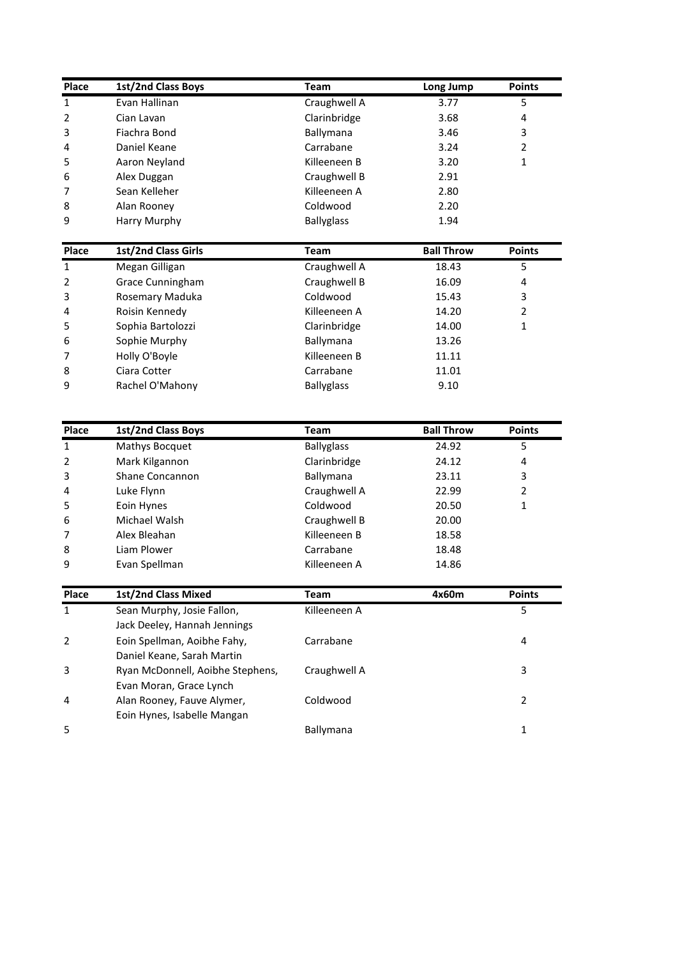| Place                                                              | 1st/2nd Class Boys               | <b>Team</b>       | Long Jump         | <b>Points</b>  |
|--------------------------------------------------------------------|----------------------------------|-------------------|-------------------|----------------|
| $\mathbf 1$                                                        | Evan Hallinan                    | Craughwell A      | 3.77              | 5              |
| $\overline{2}$                                                     | Cian Lavan                       | Clarinbridge      | 3.68              | 4              |
| 3                                                                  | Fiachra Bond                     | Ballymana         | 3.46              | 3              |
| 4                                                                  | Daniel Keane                     | Carrabane         | 3.24              | $\overline{2}$ |
| 5                                                                  | Aaron Neyland                    | Killeeneen B      | 3.20              | $\mathbf{1}$   |
| 6                                                                  | Alex Duggan                      | Craughwell B      | 2.91              |                |
| 7                                                                  | Sean Kelleher                    | Killeeneen A      | 2.80              |                |
| 8                                                                  | Alan Rooney                      | Coldwood          | 2.20              |                |
| 9                                                                  | Harry Murphy                     | <b>Ballyglass</b> | 1.94              |                |
| Place                                                              | 1st/2nd Class Girls              | <b>Team</b>       | <b>Ball Throw</b> | <b>Points</b>  |
| $\mathbf 1$                                                        | Megan Gilligan                   | Craughwell A      | 18.43             | 5              |
| $\overline{2}$                                                     | Grace Cunningham                 | Craughwell B      | 16.09             | 4              |
| 3                                                                  | Rosemary Maduka                  | Coldwood          | 15.43             | 3              |
| 4                                                                  | Roisin Kennedy                   | Killeeneen A      | 14.20             | $\overline{2}$ |
| 5                                                                  | Sophia Bartolozzi                | Clarinbridge      | 14.00             | 1              |
| 6                                                                  | Sophie Murphy                    | Ballymana         | 13.26             |                |
| 7                                                                  | Holly O'Boyle                    | Killeeneen B      | 11.11             |                |
| 8                                                                  | Ciara Cotter                     | Carrabane         | 11.01             |                |
| 9                                                                  | Rachel O'Mahony                  | <b>Ballyglass</b> | 9.10              |                |
|                                                                    |                                  |                   |                   |                |
| Place                                                              | 1st/2nd Class Boys               | <b>Team</b>       | <b>Ball Throw</b> | <b>Points</b>  |
| 1                                                                  | Mathys Bocquet                   | <b>Ballyglass</b> | 24.92             | 5              |
| 2                                                                  | Mark Kilgannon                   | Clarinbridge      | 24.12             | 4              |
| 3                                                                  | Shane Concannon                  | Ballymana         | 23.11             | 3              |
| 4                                                                  | Luke Flynn                       | Craughwell A      | 22.99             | 2              |
| 5                                                                  | Eoin Hynes                       |                   | 20.50             |                |
|                                                                    |                                  | Coldwood          |                   | 1              |
|                                                                    | Michael Walsh                    | Craughwell B      | 20.00             |                |
|                                                                    | Alex Bleahan                     | Killeeneen B      | 18.58             |                |
|                                                                    | Liam Plower                      | Carrabane         | 18.48             |                |
|                                                                    | Evan Spellman                    | Killeeneen A      | 14.86             |                |
|                                                                    | 1st/2nd Class Mixed              | <b>Team</b>       | 4x60m             | <b>Points</b>  |
|                                                                    | Sean Murphy, Josie Fallon,       | Killeeneen A      |                   | 5              |
|                                                                    | Jack Deeley, Hannah Jennings     |                   |                   |                |
|                                                                    | Eoin Spellman, Aoibhe Fahy,      | Carrabane         |                   | 4              |
|                                                                    | Daniel Keane, Sarah Martin       |                   |                   |                |
| 6<br>$\overline{7}$<br>8<br>9<br>Place<br>1<br>$\overline{2}$<br>3 | Ryan McDonnell, Aoibhe Stephens, | Craughwell A      |                   | 3              |
|                                                                    | Evan Moran, Grace Lynch          |                   |                   |                |
| 4                                                                  | Alan Rooney, Fauve Alymer,       | Coldwood          |                   | 2              |
|                                                                    | Eoin Hynes, Isabelle Mangan      |                   |                   |                |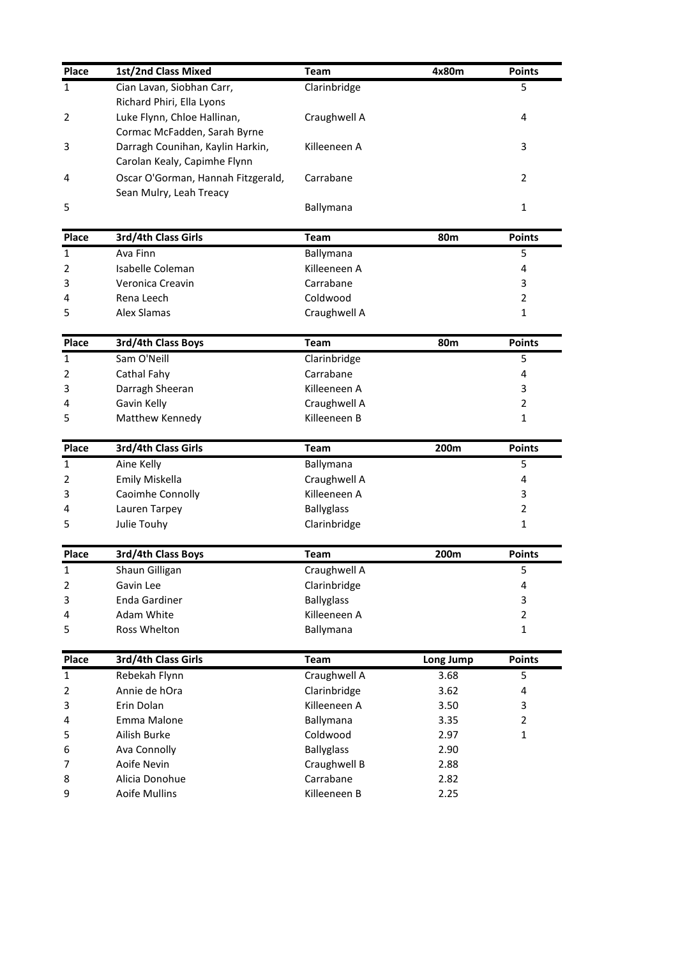| Place                | 1st/2nd Class Mixed                                              | <b>Team</b>                 | 4x80m             | <b>Points</b>  |
|----------------------|------------------------------------------------------------------|-----------------------------|-------------------|----------------|
| 1                    | Cian Lavan, Siobhan Carr,<br>Richard Phiri, Ella Lyons           | Clarinbridge                |                   | 5              |
| 2                    | Luke Flynn, Chloe Hallinan,<br>Cormac McFadden, Sarah Byrne      | Craughwell A                |                   | 4              |
| 3                    | Darragh Counihan, Kaylin Harkin,<br>Carolan Kealy, Capimhe Flynn | Killeeneen A                |                   | 3              |
| 4                    | Oscar O'Gorman, Hannah Fitzgerald,<br>Sean Mulry, Leah Treacy    | Carrabane                   |                   | 2              |
| 5                    |                                                                  | Ballymana                   |                   | $\mathbf{1}$   |
| Place                | 3rd/4th Class Girls                                              | <b>Team</b>                 | 80 <sub>m</sub>   | <b>Points</b>  |
| 1                    | Ava Finn                                                         | Ballymana                   |                   | 5              |
| $\overline{2}$       | Isabelle Coleman                                                 | Killeeneen A                |                   | 4              |
| 3                    | Veronica Creavin                                                 | Carrabane                   |                   | 3              |
| 4                    | Rena Leech                                                       | Coldwood                    |                   | $\overline{2}$ |
| 5                    | <b>Alex Slamas</b>                                               | Craughwell A                |                   | 1              |
|                      |                                                                  |                             |                   |                |
| Place                | 3rd/4th Class Boys                                               | <b>Team</b>                 | 80 <sub>m</sub>   | <b>Points</b>  |
| 1                    | Sam O'Neill                                                      | Clarinbridge                |                   | 5              |
| 2                    | Cathal Fahy                                                      | Carrabane                   |                   | 4              |
| 3                    | Darragh Sheeran                                                  | Killeeneen A                |                   | 3              |
| 4                    | Gavin Kelly                                                      | Craughwell A                |                   | $\overline{2}$ |
| 5                    | Matthew Kennedy                                                  | Killeeneen B                |                   | 1              |
| Place                | 3rd/4th Class Girls                                              | <b>Team</b>                 | 200m              | <b>Points</b>  |
| 1                    | Aine Kelly                                                       | Ballymana                   |                   | 5              |
| 2                    | Emily Miskella                                                   | Craughwell A                |                   | 4              |
| 3                    | Caoimhe Connolly                                                 | Killeeneen A                |                   | 3              |
| 4                    | Lauren Tarpey                                                    | <b>Ballyglass</b>           |                   | $\overline{2}$ |
| 5                    | Julie Touhy                                                      | Clarinbridge                |                   | $\mathbf{1}$   |
| Place                | 3rd/4th Class Boys                                               | <b>Team</b>                 | 200m              | <b>Points</b>  |
| $\mathbf 1$          | Shaun Gilligan                                                   | Craughwell A                |                   | 5              |
| $\overline{2}$       | Gavin Lee                                                        | Clarinbridge                |                   | 4              |
| 3                    | <b>Enda Gardiner</b>                                             | <b>Ballyglass</b>           |                   | 3              |
| 4                    | Adam White                                                       | Killeeneen A                |                   | $\overline{2}$ |
| 5                    | Ross Whelton                                                     | Ballymana                   |                   | $\mathbf{1}$   |
|                      |                                                                  |                             |                   | <b>Points</b>  |
| Place<br>$\mathbf 1$ | 3rd/4th Class Girls<br>Rebekah Flynn                             | <b>Team</b><br>Craughwell A | Long Jump<br>3.68 | 5              |
| $\overline{2}$       | Annie de hOra                                                    | Clarinbridge                | 3.62              | 4              |
| 3                    | Erin Dolan                                                       | Killeeneen A                | 3.50              | 3              |
| 4                    | Emma Malone                                                      | Ballymana                   | 3.35              | $\overline{2}$ |
| 5                    | Ailish Burke                                                     | Coldwood                    | 2.97              | $\mathbf{1}$   |
| 6                    | Ava Connolly                                                     | <b>Ballyglass</b>           | 2.90              |                |
|                      |                                                                  |                             |                   |                |
|                      |                                                                  |                             |                   |                |
| 7<br>8               | Aoife Nevin<br>Alicia Donohue                                    | Craughwell B<br>Carrabane   | 2.88<br>2.82      |                |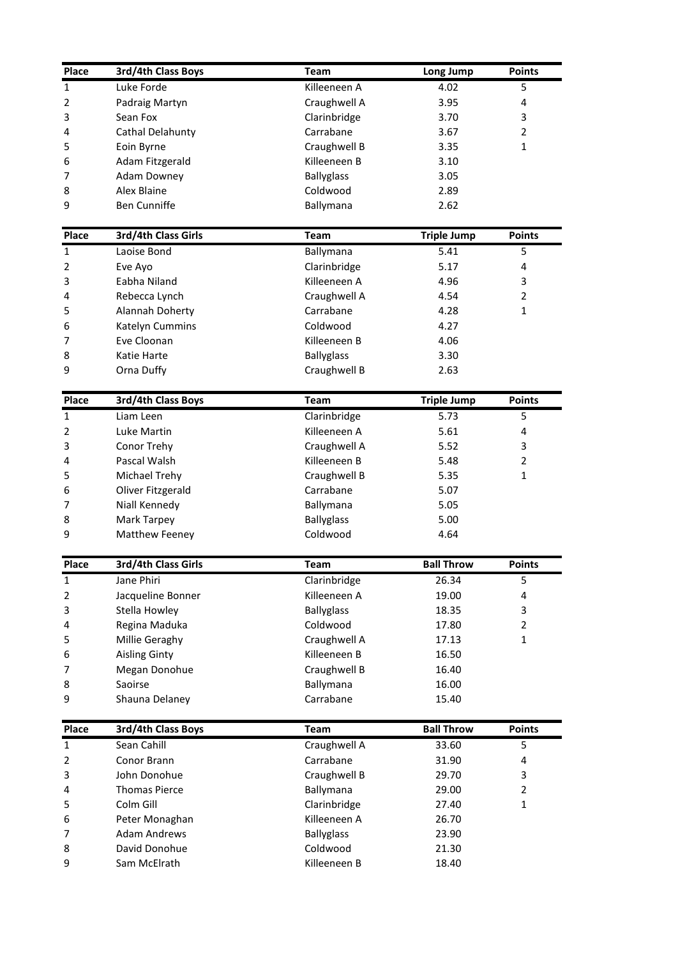| Place                                                   | 3rd/4th Class Boys            | <b>Team</b>              |                    | <b>Points</b>  |  |
|---------------------------------------------------------|-------------------------------|--------------------------|--------------------|----------------|--|
| 1                                                       | Luke Forde                    | Killeeneen A             | Long Jump<br>4.02  | 5              |  |
| 2                                                       | Padraig Martyn                | Craughwell A             | 3.95               | 4              |  |
| 3                                                       | Sean Fox                      | Clarinbridge             | 3.70               | 3              |  |
| 4                                                       | Cathal Delahunty              | Carrabane                | 3.67               | $\overline{2}$ |  |
| 5                                                       | Eoin Byrne                    | Craughwell B             | 3.35               | $\mathbf{1}$   |  |
| 6                                                       | Adam Fitzgerald               | Killeeneen B             | 3.10               |                |  |
| 7                                                       | <b>Adam Downey</b>            | <b>Ballyglass</b>        | 3.05               |                |  |
| 8                                                       | Alex Blaine                   | Coldwood                 | 2.89               |                |  |
| 9                                                       | <b>Ben Cunniffe</b>           | Ballymana                | 2.62               |                |  |
| Place                                                   | 3rd/4th Class Girls           | <b>Team</b>              | <b>Triple Jump</b> | <b>Points</b>  |  |
| $\mathbf{1}$                                            | Laoise Bond                   | Ballymana                | 5.41               | 5              |  |
| 2                                                       | Eve Ayo                       | Clarinbridge             | 5.17               | 4              |  |
| 3                                                       | Eabha Niland                  | Killeeneen A             | 4.96               | 3              |  |
| 4                                                       | Rebecca Lynch                 | Craughwell A             | 4.54               | $\overline{2}$ |  |
| 5                                                       | Alannah Doherty               | Carrabane                | 4.28               | 1              |  |
| 6                                                       | Katelyn Cummins               | Coldwood                 | 4.27               |                |  |
| 7                                                       | Eve Cloonan                   | Killeeneen B             | 4.06               |                |  |
| 8                                                       | Katie Harte                   | <b>Ballyglass</b>        | 3.30               |                |  |
| 9                                                       | Orna Duffy                    | Craughwell B             | 2.63               |                |  |
| Place                                                   | 3rd/4th Class Boys            | <b>Team</b>              | <b>Triple Jump</b> | <b>Points</b>  |  |
| 1                                                       | Liam Leen                     | Clarinbridge             | 5.73               | 5              |  |
| 2                                                       | Luke Martin                   | Killeeneen A             | 5.61               | 4              |  |
| 3                                                       | Conor Trehy                   | Craughwell A             | 5.52               | 3              |  |
| 4                                                       | Pascal Walsh                  | Killeeneen B             | 5.48               | $\overline{2}$ |  |
| 5                                                       | Michael Trehy                 | Craughwell B             | 5.35               | 1              |  |
| 6                                                       | Oliver Fitzgerald             | Carrabane                | 5.07               |                |  |
| $\overline{7}$                                          | Niall Kennedy                 | Ballymana                | 5.05               |                |  |
| 8                                                       | Mark Tarpey                   | <b>Ballyglass</b>        | 5.00               |                |  |
| 9                                                       | Matthew Feeney                | Coldwood                 | 4.64               |                |  |
| Place                                                   | 3rd/4th Class Girls           | <b>Team</b>              | <b>Ball Throw</b>  | <b>Points</b>  |  |
| $\mathbf{1}$                                            | Jane Phiri                    | Clarinbridge             | 26.34              | 5              |  |
| 2                                                       | Jacqueline Bonner             | Killeeneen A             | 19.00              | 4              |  |
| 3                                                       | Stella Howley                 | <b>Ballyglass</b>        | 18.35              | 3              |  |
| 4                                                       | Regina Maduka                 | Coldwood                 | 17.80              | $\overline{2}$ |  |
| 5                                                       | Millie Geraghy                | Craughwell A             | 17.13              | $\mathbf{1}$   |  |
| 6                                                       | <b>Aisling Ginty</b>          | Killeeneen B             | 16.50              |                |  |
| 7                                                       | Megan Donohue                 | Craughwell B             | 16.40              |                |  |
| 8                                                       | Saoirse                       | Ballymana                | 16.00              |                |  |
|                                                         | Shauna Delaney                | Carrabane                | 15.40              |                |  |
|                                                         |                               |                          |                    |                |  |
|                                                         | 3rd/4th Class Boys            | <b>Team</b>              | <b>Ball Throw</b>  | <b>Points</b>  |  |
|                                                         | Sean Cahill                   | Craughwell A             | 33.60              | 5              |  |
|                                                         | Conor Brann                   | Carrabane                | 31.90              | 4              |  |
|                                                         | John Donohue                  | Craughwell B             | 29.70              | 3              |  |
|                                                         | <b>Thomas Pierce</b>          | Ballymana                | 29.00              | $\overline{2}$ |  |
|                                                         | Colm Gill                     | Clarinbridge             | 27.40              | $\mathbf{1}$   |  |
|                                                         | Peter Monaghan                | Killeeneen A             | 26.70              |                |  |
|                                                         | <b>Adam Andrews</b>           | <b>Ballyglass</b>        | 23.90              |                |  |
| 9<br>Place<br>1<br>2<br>3<br>4<br>5<br>6<br>7<br>8<br>9 | David Donohue<br>Sam McElrath | Coldwood<br>Killeeneen B | 21.30<br>18.40     |                |  |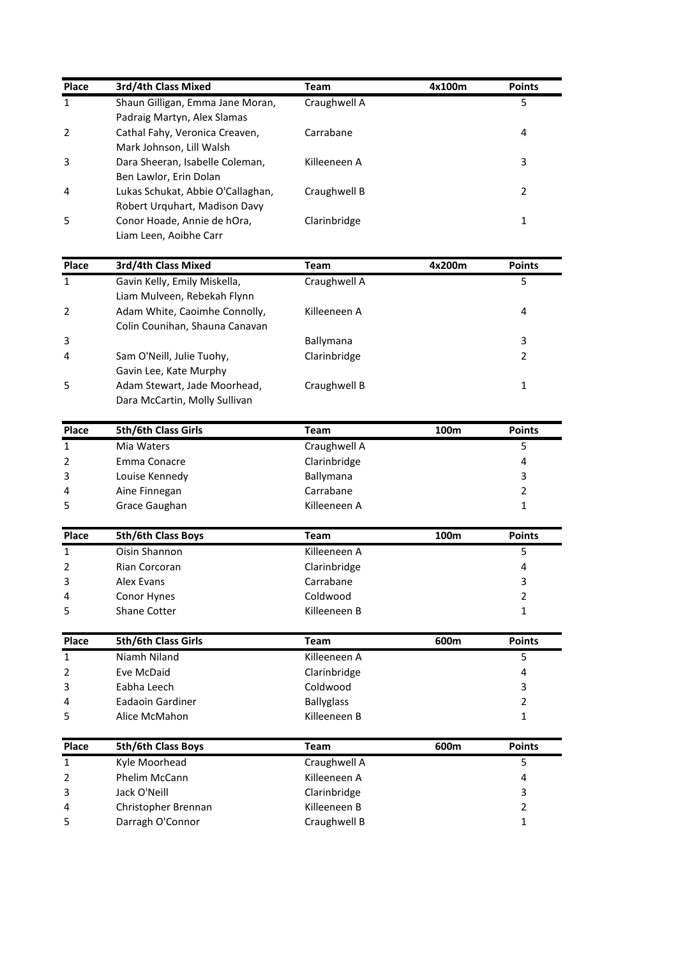| Place                                     | 3rd/4th Class Mixed                                             | <b>Team</b>                  | 4x100m | <b>Points</b>  |
|-------------------------------------------|-----------------------------------------------------------------|------------------------------|--------|----------------|
| $\mathbf{1}$                              | Shaun Gilligan, Emma Jane Moran,<br>Padraig Martyn, Alex Slamas | Craughwell A                 |        | 5              |
| 2                                         | Cathal Fahy, Veronica Creaven,                                  | Carrabane                    |        | 4              |
|                                           | Mark Johnson, Lill Walsh                                        |                              |        |                |
| 3                                         | Dara Sheeran, Isabelle Coleman,                                 | Killeeneen A                 |        | 3              |
|                                           | Ben Lawlor, Erin Dolan                                          |                              |        |                |
| 4                                         | Lukas Schukat, Abbie O'Callaghan,                               | Craughwell B                 |        | $\overline{2}$ |
|                                           | Robert Urquhart, Madison Davy                                   |                              |        |                |
| 5                                         | Conor Hoade, Annie de hOra,                                     | Clarinbridge                 |        | 1              |
|                                           | Liam Leen, Aoibhe Carr                                          |                              |        |                |
| Place                                     | 3rd/4th Class Mixed                                             | <b>Team</b>                  | 4x200m | <b>Points</b>  |
| $\mathbf{1}$                              | Gavin Kelly, Emily Miskella,                                    | Craughwell A                 |        | 5              |
|                                           | Liam Mulveen, Rebekah Flynn                                     |                              |        |                |
| 2                                         | Adam White, Caoimhe Connolly,                                   | Killeeneen A                 |        | 4              |
|                                           | Colin Counihan, Shauna Canavan                                  |                              |        |                |
| 3                                         |                                                                 | Ballymana                    |        | 3              |
| 4                                         | Sam O'Neill, Julie Tuohy,                                       | Clarinbridge                 |        | $\overline{2}$ |
|                                           | Gavin Lee, Kate Murphy                                          |                              |        |                |
| 5                                         | Adam Stewart, Jade Moorhead,                                    | Craughwell B                 |        | 1              |
|                                           | Dara McCartin, Molly Sullivan                                   |                              |        |                |
| Place                                     | 5th/6th Class Girls                                             | <b>Team</b>                  | 100m   | <b>Points</b>  |
| 1                                         | Mia Waters                                                      | Craughwell A                 |        | 5              |
| 2                                         | Emma Conacre                                                    | Clarinbridge                 |        | 4              |
| 3                                         | Louise Kennedy                                                  | Ballymana                    |        | 3              |
| 4                                         | Aine Finnegan                                                   | Carrabane                    |        | 2              |
| 5                                         | Grace Gaughan                                                   | Killeeneen A                 |        | 1              |
| Place                                     | 5th/6th Class Boys                                              | <b>Team</b>                  | 100m   | <b>Points</b>  |
| $\mathbf 1$                               | Oisin Shannon                                                   | Killeeneen A                 |        | 5              |
| 2                                         | Rian Corcoran                                                   | Clarinbridge                 |        | 4              |
| 3                                         | Alex Evans                                                      | Carrabane                    |        | 3              |
| 4                                         | Conor Hynes                                                     | Coldwood                     |        | $\overline{2}$ |
| 5                                         | Shane Cotter                                                    | Killeeneen B                 |        | 1              |
| Place                                     | 5th/6th Class Girls                                             | <b>Team</b>                  | 600m   | <b>Points</b>  |
| $\mathbf{1}$                              | Niamh Niland                                                    | Killeeneen A                 |        | 5              |
| $\overline{2}$                            | Eve McDaid                                                      | Clarinbridge                 |        | 4              |
| 3                                         | Eabha Leech                                                     | Coldwood                     |        | 3              |
| 4                                         | Eadaoin Gardiner                                                | <b>Ballyglass</b>            |        | $\overline{2}$ |
|                                           | Alice McMahon                                                   | Killeeneen B                 |        | 1              |
|                                           | 5th/6th Class Boys                                              | <b>Team</b>                  | 600m   | <b>Points</b>  |
|                                           |                                                                 |                              |        | 5              |
|                                           |                                                                 |                              |        |                |
|                                           | Kyle Moorhead<br>Phelim McCann                                  | Craughwell A<br>Killeeneen A |        | 4              |
|                                           | Jack O'Neill                                                    | Clarinbridge                 |        | 3              |
| 5<br>Place<br>$\mathbf{1}$<br>2<br>3<br>4 | Christopher Brennan                                             | Killeeneen B                 |        | $\overline{2}$ |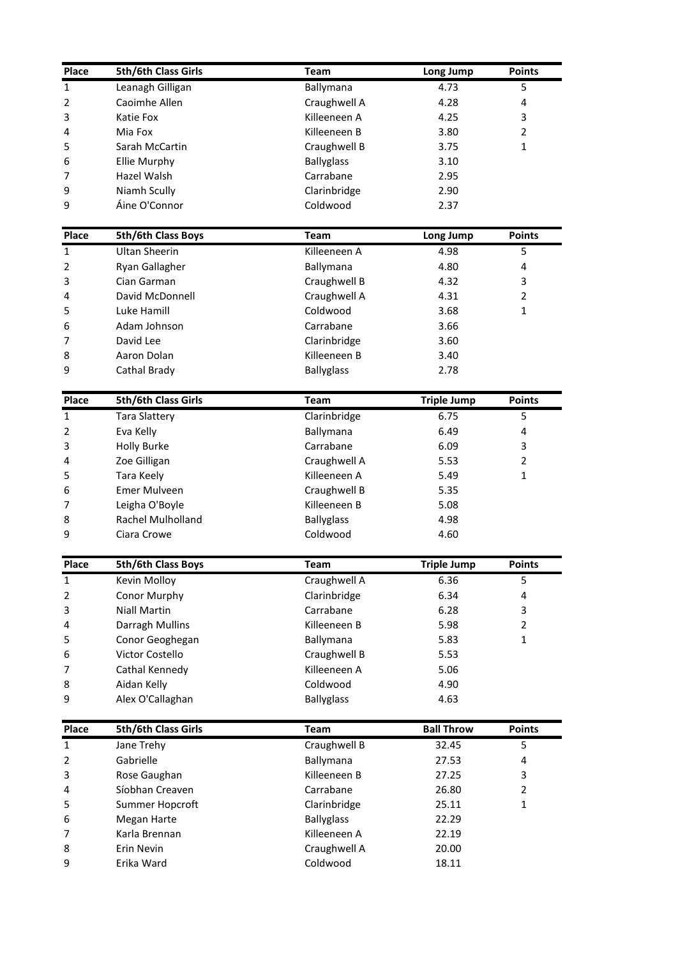| Place                     | 5th/6th Class Girls                | <b>Team</b>                    |                    | <b>Points</b>  |
|---------------------------|------------------------------------|--------------------------------|--------------------|----------------|
| $\mathbf{1}$              | Leanagh Gilligan                   | Ballymana                      | Long Jump<br>4.73  | 5              |
| 2                         | Caoimhe Allen                      | Craughwell A                   |                    | 4              |
| 3                         | Katie Fox                          | Killeeneen A                   | 4.28<br>4.25       | 3              |
|                           | Mia Fox                            | Killeeneen B                   |                    | $\overline{2}$ |
| 4                         | Sarah McCartin                     |                                | 3.80               | $\mathbf{1}$   |
| 5                         |                                    | Craughwell B                   | 3.75               |                |
| 6<br>7                    | <b>Ellie Murphy</b><br>Hazel Walsh | <b>Ballyglass</b><br>Carrabane | 3.10<br>2.95       |                |
| 9                         | Niamh Scully                       | Clarinbridge                   | 2.90               |                |
| 9                         | Áine O'Connor                      | Coldwood                       | 2.37               |                |
| Place                     | 5th/6th Class Boys                 | <b>Team</b>                    | Long Jump          | <b>Points</b>  |
| $\mathbf 1$               | <b>Ultan Sheerin</b>               | Killeeneen A                   | 4.98               | 5              |
| 2                         | Ryan Gallagher                     | Ballymana                      | 4.80               | 4              |
| 3                         | Cian Garman                        | Craughwell B                   | 4.32               | 3              |
| 4                         | David McDonnell                    | Craughwell A                   | 4.31               | $\overline{2}$ |
| 5                         | Luke Hamill                        | Coldwood                       | 3.68               | 1              |
| 6                         | Adam Johnson                       | Carrabane                      | 3.66               |                |
| 7                         | David Lee                          | Clarinbridge                   | 3.60               |                |
| 8                         | Aaron Dolan                        | Killeeneen B                   | 3.40               |                |
| 9                         | Cathal Brady                       | <b>Ballyglass</b>              | 2.78               |                |
| Place                     | 5th/6th Class Girls                | <b>Team</b>                    | <b>Triple Jump</b> | <b>Points</b>  |
| 1                         | <b>Tara Slattery</b>               | Clarinbridge                   | 6.75               | 5              |
| 2                         | Eva Kelly                          | Ballymana                      | 6.49               | 4              |
| 3                         | <b>Holly Burke</b>                 | Carrabane                      | 6.09               | 3              |
| 4                         | Zoe Gilligan                       | Craughwell A                   | 5.53               | $\overline{2}$ |
| 5                         | Tara Keely                         | Killeeneen A                   | 5.49               | 1              |
| 6                         | Emer Mulveen                       | Craughwell B                   | 5.35               |                |
| $\overline{7}$            | Leigha O'Boyle                     | Killeeneen B                   | 5.08               |                |
| 8                         | Rachel Mulholland                  | <b>Ballyglass</b>              | 4.98               |                |
| 9                         | Ciara Crowe                        | Coldwood                       | 4.60               |                |
| Place                     | 5th/6th Class Boys                 | <b>Team</b>                    | <b>Triple Jump</b> | <b>Points</b>  |
| $\mathbf{1}$              | Kevin Molloy                       | Craughwell A                   | 6.36               | 5              |
| 2                         | <b>Conor Murphy</b>                | Clarinbridge                   | 6.34               | 4              |
| 3                         | <b>Niall Martin</b>                | Carrabane                      | 6.28               | 3              |
| 4                         | Darragh Mullins                    | Killeeneen B                   | 5.98               | $\overline{2}$ |
| 5                         | Conor Geoghegan                    | Ballymana                      | 5.83               | $\mathbf{1}$   |
| 6                         | Victor Costello                    | Craughwell B                   | 5.53               |                |
| 7                         | Cathal Kennedy                     | Killeeneen A                   | 5.06               |                |
| 8                         | Aidan Kelly                        | Coldwood                       | 4.90               |                |
|                           | Alex O'Callaghan                   | <b>Ballyglass</b>              | 4.63               |                |
|                           |                                    |                                | <b>Ball Throw</b>  |                |
|                           | 5th/6th Class Girls                | <b>Team</b>                    |                    | <b>Points</b>  |
|                           | Jane Trehy                         | Craughwell B                   | 32.45              | 5              |
|                           | Gabrielle                          | Ballymana                      | 27.53              | 4              |
| 9<br>Place<br>1<br>2<br>3 | Rose Gaughan                       | Killeeneen B                   | 27.25              | 3              |
| 4                         | Síobhan Creaven                    | Carrabane                      | 26.80              | $\overline{2}$ |
| 5                         | Summer Hopcroft                    | Clarinbridge                   | 25.11              | $\mathbf{1}$   |
| 6                         | Megan Harte                        | <b>Ballyglass</b>              | 22.29              |                |
|                           | Karla Brennan                      | Killeeneen A                   | 22.19              |                |
| 7<br>8<br>9               | Erin Nevin<br>Erika Ward           | Craughwell A<br>Coldwood       | 20.00<br>18.11     |                |